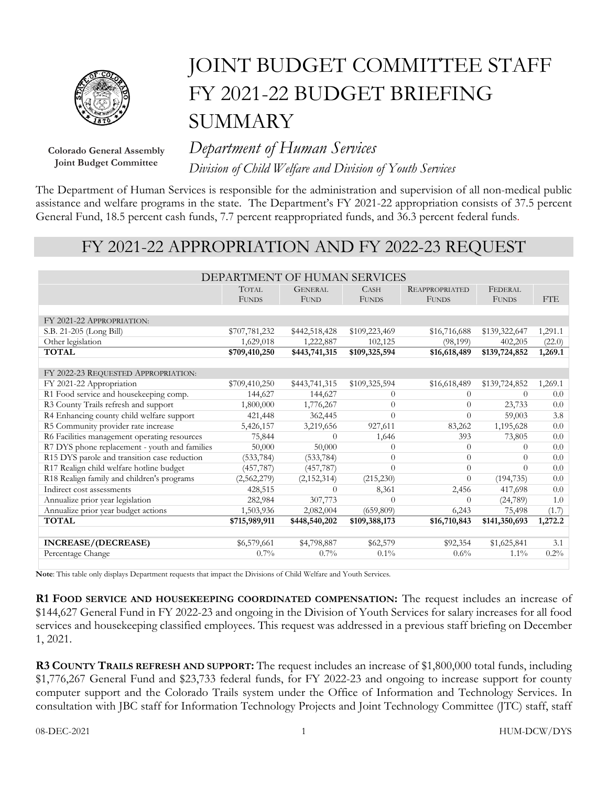

## JOINT BUDGET COMMITTEE STAFF FY 2021-22 BUDGET BRIEFING **SUMMARY**

**Colorado General Assembly Joint Budget Committee**

*Department of Human Services Division of Child Welfare and Division of Youth Services*

The Department of Human Services is responsible for the administration and supervision of all non-medical public assistance and welfare programs in the state. The Department's FY 2021-22 appropriation consists of 37.5 percent General Fund, 18.5 percent cash funds, 7.7 percent reappropriated funds, and 36.3 percent federal funds.

## FY 2021-22 APPROPRIATION AND FY 2022-23 REQUEST

| <b>TOTAL</b><br><b>GENERAL</b><br><b>CASH</b><br><b>REAPPROPRIATED</b><br>FEDERAL<br>FTE<br><b>FUND</b><br><b>FUNDS</b><br><b>FUNDS</b><br><b>FUNDS</b><br><b>FUNDS</b><br>FY 2021-22 APPROPRIATION:<br>S.B. 21-205 (Long Bill)<br>\$707,781,232<br>\$442,518,428<br>\$109,223,469<br>\$16,716,688<br>\$139,322,647<br>1,291.1<br>Other legislation<br>1,629,018<br>1,222,887<br>102,125<br>(98, 199)<br>402,205<br>(22.0)<br><b>TOTAL</b><br>\$709,410,250<br>\$443,741,315<br>\$109,325,594<br>\$16,618,489<br>\$139,724,852<br>1,269.1<br>FY 2022-23 REQUESTED APPROPRIATION:<br>FY 2021-22 Appropriation<br>\$709,410,250<br>\$443,741,315<br>\$109,325,594<br>\$16,618,489<br>\$139,724,852<br>1,269.1<br>R1 Food service and housekeeping comp.<br>144,627<br>144,627<br>0.0<br>$\Omega$<br>$\Omega$<br>0<br>R3 County Trails refresh and support<br>1,800,000<br>1,776,267<br>$\Omega$<br>23,733<br>0.0<br>$\Omega$<br>R4 Enhancing county child welfare support<br>421,448<br>362,445<br>$\Omega$<br>59,003<br>3.8<br>$\Omega$<br>R5 Community provider rate increase<br>927,611<br>5,426,157<br>3,219,656<br>83,262<br>1,195,628<br>0.0<br>R6 Facilities management operating resources<br>393<br>0.0<br>75,844<br>$\Omega$<br>1,646<br>73,805<br>R7 DYS phone replacement - youth and families<br>50,000<br>50,000<br>0.0<br>$\Omega$<br>0<br>0<br>R15 DYS parole and transition case reduction<br>0.0<br>(533, 784)<br>(533, 784)<br>$\overline{0}$<br>$\theta$<br>$\Omega$<br>R17 Realign child welfare hotline budget<br>(457, 787)<br>0.0<br>(457, 787)<br>$\Omega$<br>$\Omega$<br>$\Omega$<br>R18 Realign family and children's programs<br>(2,562,279)<br>(215, 230)<br>(194, 735)<br>0.0<br>(2, 152, 314)<br>$\Omega$<br>Indirect cost assessments<br>0.0<br>2,456<br>417,698<br>428,515<br>8,361<br>$\Omega$<br>Annualize prior year legislation<br>282,984<br>307,773<br>$\Omega$<br>(24,789)<br>1.0<br>$\Omega$<br>Annualize prior year budget actions<br>1,503,936<br>2,082,004<br>(659,809)<br>(1.7)<br>6,243<br>75,498<br>\$16,710,843<br><b>TOTAL</b><br>\$141,350,693<br>\$715,989,911<br>\$448,540,202<br>\$109,388,173<br>1,272.2<br>INCREASE/(DECREASE)<br>\$6,579,661<br>\$62,579<br>\$4,798,887<br>\$92,354<br>\$1,625,841<br>3.1<br>Percentage Change<br>$0.2\%$<br>$0.7\%$<br>$0.7\%$<br>$0.1\%$<br>$0.6\%$<br>$1.1\%$ | DEPARTMENT OF HUMAN SERVICES |  |  |  |  |  |  |
|--------------------------------------------------------------------------------------------------------------------------------------------------------------------------------------------------------------------------------------------------------------------------------------------------------------------------------------------------------------------------------------------------------------------------------------------------------------------------------------------------------------------------------------------------------------------------------------------------------------------------------------------------------------------------------------------------------------------------------------------------------------------------------------------------------------------------------------------------------------------------------------------------------------------------------------------------------------------------------------------------------------------------------------------------------------------------------------------------------------------------------------------------------------------------------------------------------------------------------------------------------------------------------------------------------------------------------------------------------------------------------------------------------------------------------------------------------------------------------------------------------------------------------------------------------------------------------------------------------------------------------------------------------------------------------------------------------------------------------------------------------------------------------------------------------------------------------------------------------------------------------------------------------------------------------------------------------------------------------------------------------------------------------------------------------------------------------------------------------------------------------------------------------------------------------------------------------------------------------------------------------------------------------------------------------------------------------------------------------|------------------------------|--|--|--|--|--|--|
|                                                                                                                                                                                                                                                                                                                                                                                                                                                                                                                                                                                                                                                                                                                                                                                                                                                                                                                                                                                                                                                                                                                                                                                                                                                                                                                                                                                                                                                                                                                                                                                                                                                                                                                                                                                                                                                                                                                                                                                                                                                                                                                                                                                                                                                                                                                                                        |                              |  |  |  |  |  |  |
|                                                                                                                                                                                                                                                                                                                                                                                                                                                                                                                                                                                                                                                                                                                                                                                                                                                                                                                                                                                                                                                                                                                                                                                                                                                                                                                                                                                                                                                                                                                                                                                                                                                                                                                                                                                                                                                                                                                                                                                                                                                                                                                                                                                                                                                                                                                                                        |                              |  |  |  |  |  |  |
|                                                                                                                                                                                                                                                                                                                                                                                                                                                                                                                                                                                                                                                                                                                                                                                                                                                                                                                                                                                                                                                                                                                                                                                                                                                                                                                                                                                                                                                                                                                                                                                                                                                                                                                                                                                                                                                                                                                                                                                                                                                                                                                                                                                                                                                                                                                                                        |                              |  |  |  |  |  |  |
|                                                                                                                                                                                                                                                                                                                                                                                                                                                                                                                                                                                                                                                                                                                                                                                                                                                                                                                                                                                                                                                                                                                                                                                                                                                                                                                                                                                                                                                                                                                                                                                                                                                                                                                                                                                                                                                                                                                                                                                                                                                                                                                                                                                                                                                                                                                                                        |                              |  |  |  |  |  |  |
|                                                                                                                                                                                                                                                                                                                                                                                                                                                                                                                                                                                                                                                                                                                                                                                                                                                                                                                                                                                                                                                                                                                                                                                                                                                                                                                                                                                                                                                                                                                                                                                                                                                                                                                                                                                                                                                                                                                                                                                                                                                                                                                                                                                                                                                                                                                                                        |                              |  |  |  |  |  |  |
|                                                                                                                                                                                                                                                                                                                                                                                                                                                                                                                                                                                                                                                                                                                                                                                                                                                                                                                                                                                                                                                                                                                                                                                                                                                                                                                                                                                                                                                                                                                                                                                                                                                                                                                                                                                                                                                                                                                                                                                                                                                                                                                                                                                                                                                                                                                                                        |                              |  |  |  |  |  |  |
|                                                                                                                                                                                                                                                                                                                                                                                                                                                                                                                                                                                                                                                                                                                                                                                                                                                                                                                                                                                                                                                                                                                                                                                                                                                                                                                                                                                                                                                                                                                                                                                                                                                                                                                                                                                                                                                                                                                                                                                                                                                                                                                                                                                                                                                                                                                                                        |                              |  |  |  |  |  |  |
|                                                                                                                                                                                                                                                                                                                                                                                                                                                                                                                                                                                                                                                                                                                                                                                                                                                                                                                                                                                                                                                                                                                                                                                                                                                                                                                                                                                                                                                                                                                                                                                                                                                                                                                                                                                                                                                                                                                                                                                                                                                                                                                                                                                                                                                                                                                                                        |                              |  |  |  |  |  |  |
|                                                                                                                                                                                                                                                                                                                                                                                                                                                                                                                                                                                                                                                                                                                                                                                                                                                                                                                                                                                                                                                                                                                                                                                                                                                                                                                                                                                                                                                                                                                                                                                                                                                                                                                                                                                                                                                                                                                                                                                                                                                                                                                                                                                                                                                                                                                                                        |                              |  |  |  |  |  |  |
|                                                                                                                                                                                                                                                                                                                                                                                                                                                                                                                                                                                                                                                                                                                                                                                                                                                                                                                                                                                                                                                                                                                                                                                                                                                                                                                                                                                                                                                                                                                                                                                                                                                                                                                                                                                                                                                                                                                                                                                                                                                                                                                                                                                                                                                                                                                                                        |                              |  |  |  |  |  |  |
|                                                                                                                                                                                                                                                                                                                                                                                                                                                                                                                                                                                                                                                                                                                                                                                                                                                                                                                                                                                                                                                                                                                                                                                                                                                                                                                                                                                                                                                                                                                                                                                                                                                                                                                                                                                                                                                                                                                                                                                                                                                                                                                                                                                                                                                                                                                                                        |                              |  |  |  |  |  |  |
|                                                                                                                                                                                                                                                                                                                                                                                                                                                                                                                                                                                                                                                                                                                                                                                                                                                                                                                                                                                                                                                                                                                                                                                                                                                                                                                                                                                                                                                                                                                                                                                                                                                                                                                                                                                                                                                                                                                                                                                                                                                                                                                                                                                                                                                                                                                                                        |                              |  |  |  |  |  |  |
|                                                                                                                                                                                                                                                                                                                                                                                                                                                                                                                                                                                                                                                                                                                                                                                                                                                                                                                                                                                                                                                                                                                                                                                                                                                                                                                                                                                                                                                                                                                                                                                                                                                                                                                                                                                                                                                                                                                                                                                                                                                                                                                                                                                                                                                                                                                                                        |                              |  |  |  |  |  |  |
|                                                                                                                                                                                                                                                                                                                                                                                                                                                                                                                                                                                                                                                                                                                                                                                                                                                                                                                                                                                                                                                                                                                                                                                                                                                                                                                                                                                                                                                                                                                                                                                                                                                                                                                                                                                                                                                                                                                                                                                                                                                                                                                                                                                                                                                                                                                                                        |                              |  |  |  |  |  |  |
|                                                                                                                                                                                                                                                                                                                                                                                                                                                                                                                                                                                                                                                                                                                                                                                                                                                                                                                                                                                                                                                                                                                                                                                                                                                                                                                                                                                                                                                                                                                                                                                                                                                                                                                                                                                                                                                                                                                                                                                                                                                                                                                                                                                                                                                                                                                                                        |                              |  |  |  |  |  |  |
|                                                                                                                                                                                                                                                                                                                                                                                                                                                                                                                                                                                                                                                                                                                                                                                                                                                                                                                                                                                                                                                                                                                                                                                                                                                                                                                                                                                                                                                                                                                                                                                                                                                                                                                                                                                                                                                                                                                                                                                                                                                                                                                                                                                                                                                                                                                                                        |                              |  |  |  |  |  |  |
|                                                                                                                                                                                                                                                                                                                                                                                                                                                                                                                                                                                                                                                                                                                                                                                                                                                                                                                                                                                                                                                                                                                                                                                                                                                                                                                                                                                                                                                                                                                                                                                                                                                                                                                                                                                                                                                                                                                                                                                                                                                                                                                                                                                                                                                                                                                                                        |                              |  |  |  |  |  |  |
|                                                                                                                                                                                                                                                                                                                                                                                                                                                                                                                                                                                                                                                                                                                                                                                                                                                                                                                                                                                                                                                                                                                                                                                                                                                                                                                                                                                                                                                                                                                                                                                                                                                                                                                                                                                                                                                                                                                                                                                                                                                                                                                                                                                                                                                                                                                                                        |                              |  |  |  |  |  |  |
|                                                                                                                                                                                                                                                                                                                                                                                                                                                                                                                                                                                                                                                                                                                                                                                                                                                                                                                                                                                                                                                                                                                                                                                                                                                                                                                                                                                                                                                                                                                                                                                                                                                                                                                                                                                                                                                                                                                                                                                                                                                                                                                                                                                                                                                                                                                                                        |                              |  |  |  |  |  |  |
|                                                                                                                                                                                                                                                                                                                                                                                                                                                                                                                                                                                                                                                                                                                                                                                                                                                                                                                                                                                                                                                                                                                                                                                                                                                                                                                                                                                                                                                                                                                                                                                                                                                                                                                                                                                                                                                                                                                                                                                                                                                                                                                                                                                                                                                                                                                                                        |                              |  |  |  |  |  |  |
|                                                                                                                                                                                                                                                                                                                                                                                                                                                                                                                                                                                                                                                                                                                                                                                                                                                                                                                                                                                                                                                                                                                                                                                                                                                                                                                                                                                                                                                                                                                                                                                                                                                                                                                                                                                                                                                                                                                                                                                                                                                                                                                                                                                                                                                                                                                                                        |                              |  |  |  |  |  |  |
|                                                                                                                                                                                                                                                                                                                                                                                                                                                                                                                                                                                                                                                                                                                                                                                                                                                                                                                                                                                                                                                                                                                                                                                                                                                                                                                                                                                                                                                                                                                                                                                                                                                                                                                                                                                                                                                                                                                                                                                                                                                                                                                                                                                                                                                                                                                                                        |                              |  |  |  |  |  |  |
|                                                                                                                                                                                                                                                                                                                                                                                                                                                                                                                                                                                                                                                                                                                                                                                                                                                                                                                                                                                                                                                                                                                                                                                                                                                                                                                                                                                                                                                                                                                                                                                                                                                                                                                                                                                                                                                                                                                                                                                                                                                                                                                                                                                                                                                                                                                                                        |                              |  |  |  |  |  |  |
|                                                                                                                                                                                                                                                                                                                                                                                                                                                                                                                                                                                                                                                                                                                                                                                                                                                                                                                                                                                                                                                                                                                                                                                                                                                                                                                                                                                                                                                                                                                                                                                                                                                                                                                                                                                                                                                                                                                                                                                                                                                                                                                                                                                                                                                                                                                                                        |                              |  |  |  |  |  |  |
|                                                                                                                                                                                                                                                                                                                                                                                                                                                                                                                                                                                                                                                                                                                                                                                                                                                                                                                                                                                                                                                                                                                                                                                                                                                                                                                                                                                                                                                                                                                                                                                                                                                                                                                                                                                                                                                                                                                                                                                                                                                                                                                                                                                                                                                                                                                                                        |                              |  |  |  |  |  |  |
|                                                                                                                                                                                                                                                                                                                                                                                                                                                                                                                                                                                                                                                                                                                                                                                                                                                                                                                                                                                                                                                                                                                                                                                                                                                                                                                                                                                                                                                                                                                                                                                                                                                                                                                                                                                                                                                                                                                                                                                                                                                                                                                                                                                                                                                                                                                                                        |                              |  |  |  |  |  |  |

**Note**: This table only displays Department requests that impact the Divisions of Child Welfare and Youth Services.

**R1 FOOD SERVICE AND HOUSEKEEPING COORDINATED COMPENSATION:** The request includes an increase of \$144,627 General Fund in FY 2022-23 and ongoing in the Division of Youth Services for salary increases for all food services and housekeeping classified employees. This request was addressed in a previous staff briefing on December 1, 2021.

**R3 COUNTY TRAILS REFRESH AND SUPPORT:** The request includes an increase of \$1,800,000 total funds, including \$1,776,267 General Fund and \$23,733 federal funds, for FY 2022-23 and ongoing to increase support for county computer support and the Colorado Trails system under the Office of Information and Technology Services. In consultation with JBC staff for Information Technology Projects and Joint Technology Committee (JTC) staff, staff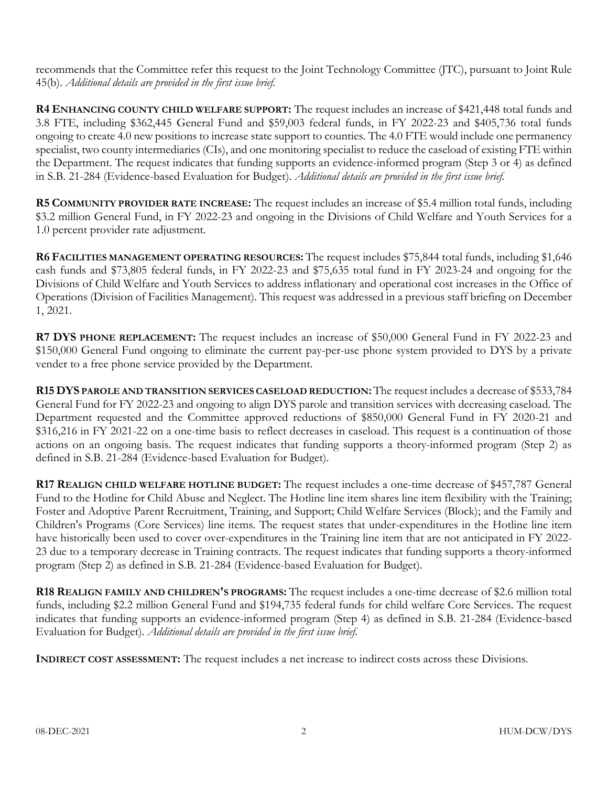recommends that the Committee refer this request to the Joint Technology Committee (JTC), pursuant to Joint Rule 45(b). *Additional details are provided in the first issue brief.*

**R4 ENHANCING COUNTY CHILD WELFARE SUPPORT:** The request includes an increase of \$421,448 total funds and 3.8 FTE, including \$362,445 General Fund and \$59,003 federal funds, in FY 2022-23 and \$405,736 total funds ongoing to create 4.0 new positions to increase state support to counties. The 4.0 FTE would include one permanency specialist, two county intermediaries (CIs), and one monitoring specialist to reduce the caseload of existing FTE within the Department. The request indicates that funding supports an evidence-informed program (Step 3 or 4) as defined in S.B. 21-284 (Evidence-based Evaluation for Budget). *Additional details are provided in the first issue brief.*

**R5 COMMUNITY PROVIDER RATE INCREASE:** The request includes an increase of \$5.4 million total funds, including \$3.2 million General Fund, in FY 2022-23 and ongoing in the Divisions of Child Welfare and Youth Services for a 1.0 percent provider rate adjustment.

**R6 FACILITIES MANAGEMENT OPERATING RESOURCES:** The request includes \$75,844 total funds, including \$1,646 cash funds and \$73,805 federal funds, in FY 2022-23 and \$75,635 total fund in FY 2023-24 and ongoing for the Divisions of Child Welfare and Youth Services to address inflationary and operational cost increases in the Office of Operations (Division of Facilities Management). This request was addressed in a previous staff briefing on December 1, 2021.

**R7 DYS PHONE REPLACEMENT:** The request includes an increase of \$50,000 General Fund in FY 2022-23 and \$150,000 General Fund ongoing to eliminate the current pay-per-use phone system provided to DYS by a private vender to a free phone service provided by the Department.

**R15DYS PAROLE AND TRANSITION SERVICES CASELOAD REDUCTION:**The request includes a decrease of \$533,784 General Fund for FY 2022-23 and ongoing to align DYS parole and transition services with decreasing caseload. The Department requested and the Committee approved reductions of \$850,000 General Fund in FY 2020-21 and \$316,216 in FY 2021-22 on a one-time basis to reflect decreases in caseload. This request is a continuation of those actions on an ongoing basis. The request indicates that funding supports a theory-informed program (Step 2) as defined in S.B. 21-284 (Evidence-based Evaluation for Budget).

**R17 REALIGN CHILD WELFARE HOTLINE BUDGET:** The request includes a one-time decrease of \$457,787 General Fund to the Hotline for Child Abuse and Neglect. The Hotline line item shares line item flexibility with the Training; Foster and Adoptive Parent Recruitment, Training, and Support; Child Welfare Services (Block); and the Family and Children's Programs (Core Services) line items. The request states that under-expenditures in the Hotline line item have historically been used to cover over-expenditures in the Training line item that are not anticipated in FY 2022- 23 due to a temporary decrease in Training contracts. The request indicates that funding supports a theory-informed program (Step 2) as defined in S.B. 21-284 (Evidence-based Evaluation for Budget).

**R18 REALIGN FAMILY AND CHILDREN'S PROGRAMS:** The request includes a one-time decrease of \$2.6 million total funds, including \$2.2 million General Fund and \$194,735 federal funds for child welfare Core Services. The request indicates that funding supports an evidence-informed program (Step 4) as defined in S.B. 21-284 (Evidence-based Evaluation for Budget). *Additional details are provided in the first issue brief.*

**INDIRECT COST ASSESSMENT:** The request includes a net increase to indirect costs across these Divisions.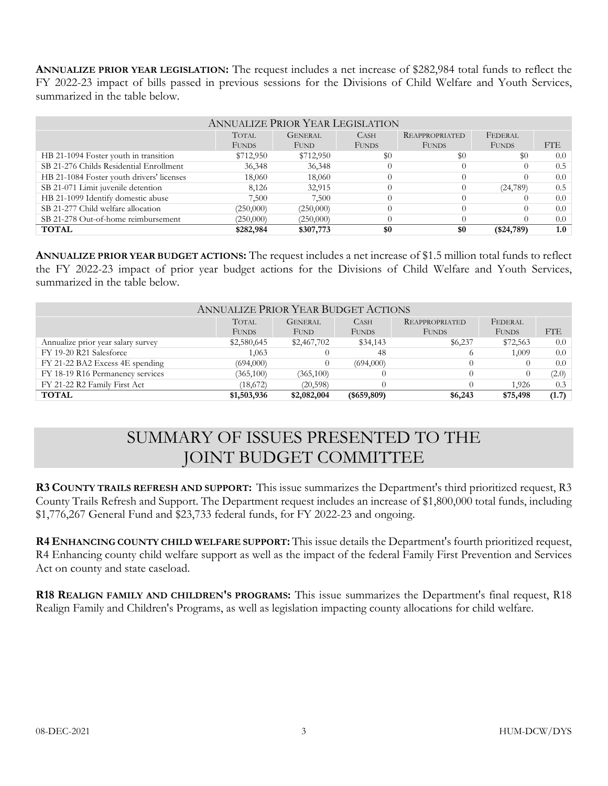**ANNUALIZE PRIOR YEAR LEGISLATION:** The request includes a net increase of \$282,984 total funds to reflect the FY 2022-23 impact of bills passed in previous sessions for the Divisions of Child Welfare and Youth Services, summarized in the table below.

| <b>ANNUALIZE PRIOR YEAR LEGISLATION</b>   |              |                |              |                       |              |     |
|-------------------------------------------|--------------|----------------|--------------|-----------------------|--------------|-----|
|                                           | <b>TOTAL</b> | <b>GENERAL</b> | <b>CASH</b>  | <b>REAPPROPRIATED</b> | FEDERAL      |     |
|                                           | <b>FUNDS</b> | <b>FUND</b>    | <b>FUNDS</b> | <b>FUNDS</b>          | <b>FUNDS</b> | FTE |
| HB 21-1094 Foster youth in transition     | \$712,950    | \$712,950      | \$0          | $\$0$                 | \$0          | 0.0 |
| SB 21-276 Childs Residential Enrollment   | 36,348       | 36,348         |              |                       |              | 0.5 |
| HB 21-1084 Foster youth drivers' licenses | 18,060       | 18,060         |              |                       |              | 0.0 |
| SB 21-071 Limit juvenile detention        | 8,126        | 32,915         |              |                       | (24,789)     | 0.5 |
| HB 21-1099 Identify domestic abuse        | 7,500        | 7,500          |              |                       |              | 0.0 |
| SB 21-277 Child welfare allocation        | (250,000)    | (250,000)      |              |                       |              | 0.0 |
| SB 21-278 Out-of-home reimbursement       | (250,000)    | (250,000)      |              |                       | $\Omega$     | 0.0 |
| <b>TOTAL</b>                              | \$282,984    | \$307,773      | \$0          | \$0                   | ( \$24,789)  | 1.0 |

**ANNUALIZE PRIOR YEAR BUDGET ACTIONS:** The request includes a net increase of \$1.5 million total funds to reflect the FY 2022-23 impact of prior year budget actions for the Divisions of Child Welfare and Youth Services, summarized in the table below.

| <b>ANNUALIZE PRIOR YEAR BUDGET ACTIONS</b> |              |                |                |                       |              |            |
|--------------------------------------------|--------------|----------------|----------------|-----------------------|--------------|------------|
|                                            | <b>TOTAL</b> | <b>GENERAL</b> | <b>CASH</b>    | <b>REAPPROPRIATED</b> | FEDERAL      |            |
|                                            | <b>FUNDS</b> | <b>FUND</b>    | <b>FUNDS</b>   | <b>FUNDS</b>          | <b>FUNDS</b> | <b>FTE</b> |
| Annualize prior year salary survey         | \$2,580,645  | \$2,467,702    | \$34,143       | \$6,237               | \$72,563     | 0.0        |
| FY 19-20 R21 Salesforce                    | 1,063        |                | 48             |                       | 1,009        | 0.0        |
| FY 21-22 BA2 Excess 4E spending            | (694,000)    |                | (694,000)      |                       |              | 0.0        |
| FY 18-19 R16 Permanency services           | (365,100)    | (365,100)      |                |                       |              | (2.0)      |
| FY 21-22 R2 Family First Act               | (18,672)     | (20, 598)      |                |                       | 1.926        | 0.3        |
| <b>TOTAL</b>                               | \$1,503,936  | \$2,082,004    | $($ \$659,809) | \$6,243               | \$75,498     | (1.7)      |

## SUMMARY OF ISSUES PRESENTED TO THE JOINT BUDGET COMMITTEE

**R3 COUNTY TRAILS REFRESH AND SUPPORT:** This issue summarizes the Department's third prioritized request, R3 County Trails Refresh and Support. The Department request includes an increase of \$1,800,000 total funds, including \$1,776,267 General Fund and \$23,733 federal funds, for FY 2022-23 and ongoing.

**R4 ENHANCING COUNTY CHILD WELFARE SUPPORT:** This issue details the Department's fourth prioritized request, R4 Enhancing county child welfare support as well as the impact of the federal Family First Prevention and Services Act on county and state caseload.

**R18 REALIGN FAMILY AND CHILDREN'S PROGRAMS:** This issue summarizes the Department's final request, R18 Realign Family and Children's Programs, as well as legislation impacting county allocations for child welfare.